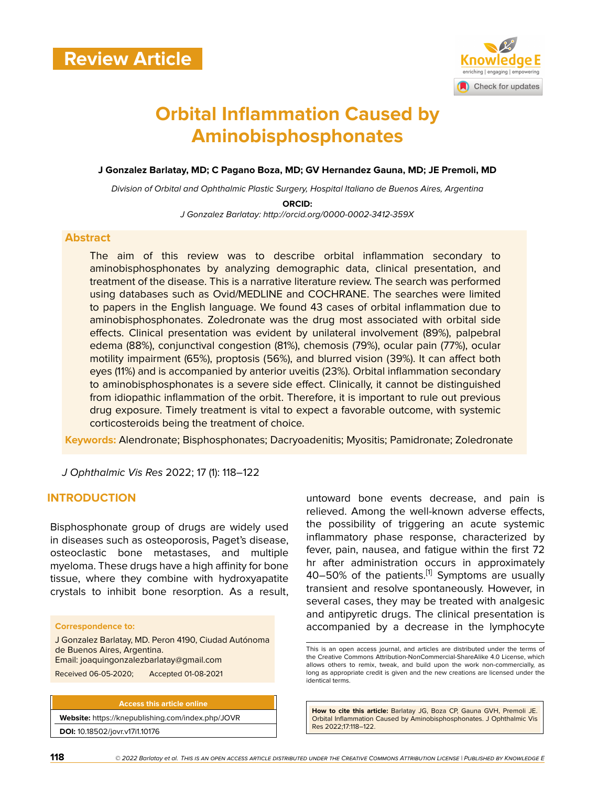

# **Orbital Inflammation Caused by Aminobisphosphonates**

**J Gonzalez Barlatay, MD; C Pagano Boza, MD; GV Hernandez Gauna, MD; JE Premoli, MD**

*Division of Orbital and Ophthalmic Plastic Surgery, Hospital Italiano de Buenos Aires, Argentina*

**ORCID:**

*J Gonzalez Barlatay: http://orcid.org/0000-0002-3412-359X*

#### **Abstract**

The aim of this review was to describe orbital inflammation secondary to aminobisphosphonates by analyzing demographic data, clinical presentation, and treatment of the disease. This is a narrative literature review. The search was performed using databases such as Ovid/MEDLINE and COCHRANE. The searches were limited to papers in the English language. We found 43 cases of orbital inflammation due to aminobisphosphonates. Zoledronate was the drug most associated with orbital side effects. Clinical presentation was evident by unilateral involvement (89%), palpebral edema (88%), conjunctival congestion (81%), chemosis (79%), ocular pain (77%), ocular motility impairment (65%), proptosis (56%), and blurred vision (39%). It can affect both eyes (11%) and is accompanied by anterior uveitis (23%). Orbital inflammation secondary to aminobisphosphonates is a severe side effect. Clinically, it cannot be distinguished from idiopathic inflammation of the orbit. Therefore, it is important to rule out previous drug exposure. Timely treatment is vital to expect a favorable outcome, with systemic corticosteroids being the treatment of choice.

**Keywords:** Alendronate; Bisphosphonates; Dacryoadenitis; Myositis; Pamidronate; Zoledronate

*J Ophthalmic Vis Res* 2022; 17 (1): 118–122

#### **INTRODUCTION**

Bisphosphonate group of drugs are widely used in diseases such as osteoporosis, Paget's disease, osteoclastic bone metastases, and multiple myeloma. These drugs have a high affinity for bone tissue, where they combine with hydroxyapatite crystals to inhibit bone resorption. As a result,

#### **Correspondence to:**

J Gonzalez Barlatay, MD. Peron 4190, Ciudad Autónoma de Buenos Aires, Argentina. Email: joaquingonzalezbarlatay@gmail.com

Received 06-05-2020; Accepted 01-08-2021

**Access this article online Website:** <https://knepublishing.com/index.php/JOVR> **DOI:** 10.18502/jovr.v17i1.10176

untoward bone events decrease, and pain is relieved. Among the well-known adverse effects, the possibility of triggering an acute systemic inflammatory phase response, characterized by fever, pain, nausea, and fatigue within the first 72 hr after administration occurs in approximately 40–50% of the patients.<sup>[[1](#page-3-0)]</sup> Symptoms are usually transient and resolve spontaneously. However, in several cases, they may be treated with analgesic and antipyretic drugs. The clinical presentation is accompanied by a decrease in the lymphocyte

This is an open access journal, and articles are distributed under the terms of the Creative Commons Attribution-NonCommercial-ShareAlike 4.0 License, which allows others to remix, tweak, and build upon the work non-commercially, as long as appropriate credit is given and the new creations are licensed under the identical terms.

**How to cite this article:** Barlatay JG, Boza CP, Gauna GVH, Premoli JE. Orbital Inflammation Caused by Aminobisphosphonates. J Ophthalmic Vis Res 2022;17:118–122.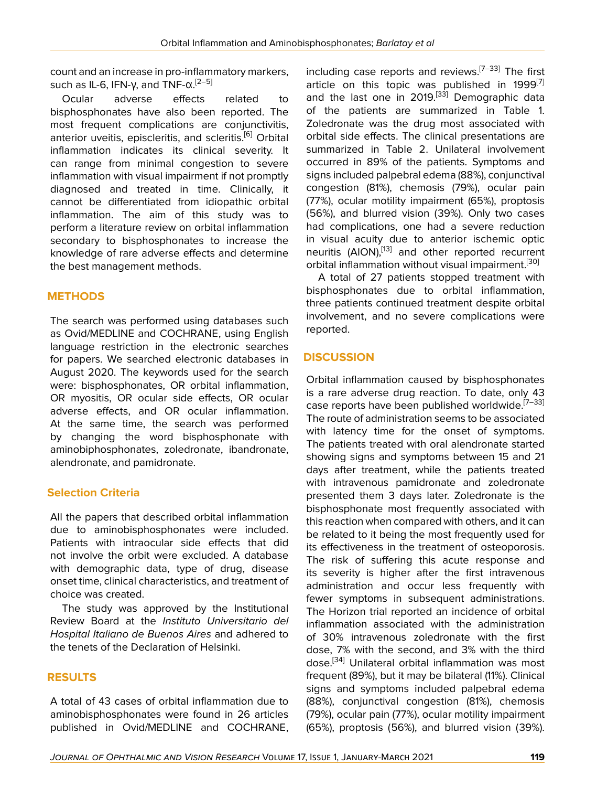count and an increase in pro-inflammatory markers, such as IL-6, IFN-γ, and TNF- $\alpha$ .<sup>[2-[5](#page-3-2)]</sup>

Ocular adverse effects related to bisphosphonates have also been reported. The most frequent complications are conjunctivitis, anterior uveitis, episcleritis, and scleritis.<sup>[[6](#page-3-3)]</sup> Orbital inflammation indicates its clinical severity. It can range from minimal congestion to severe inflammation with visual impairment if not promptly diagnosed and treated in time. Clinically, it cannot be differentiated from idiopathic orbital inflammation. The aim of this study was to perform a literature review on orbital inflammation secondary to bisphosphonates to increase the knowledge of rare adverse effects and determine the best management methods.

# **METHODS**

The search was performed using databases such as Ovid/MEDLINE and COCHRANE, using English language restriction in the electronic searches for papers. We searched electronic databases in August 2020. The keywords used for the search were: bisphosphonates, OR orbital inflammation, OR myositis, OR ocular side effects, OR ocular adverse effects, and OR ocular inflammation. At the same time, the search was performed by changing the word bisphosphonate with aminobiphosphonates, zoledronate, ibandronate, alendronate, and pamidronate.

# **Selection Criteria**

All the papers that described orbital inflammation due to aminobisphosphonates were included. Patients with intraocular side effects that did not involve the orbit were excluded. A database with demographic data, type of drug, disease onset time, clinical characteristics, and treatment of choice was created.

The study was approved by the Institutional Review Board at the *Instituto Universitario del Hospital Italiano de Buenos Aires* and adhered to the tenets of the Declaration of Helsinki.

# **RESULTS**

A total of 43 cases of orbital inflammation due to aminobisphosphonates were found in 26 articles published in Ovid/MEDLINE and COCHRANE,

including case reports and reviews.<sup>[7-[33\]](#page-4-0)</sup> The first article on this topic was published in  $1999^{[7]}$  $1999^{[7]}$  $1999^{[7]}$ and the last one in 2019.<sup>[[33](#page-4-0)]</sup> Demographic data of the patients are summarized in Table 1. Zoledronate was the drug most associated with orbital side effects. The clinical presentations are summarized in Table 2. Unilateral involvement occurred in 89% of the patients. Symptoms and signs included palpebral edema (88%), conjunctival congestion (81%), chemosis (79%), ocular pain (77%), ocular motility impairment (65%), proptosis (56%), and blurred vision (39%). Only two cases had complications, one had a severe reduction in visual acuity due to anterior ischemic optic neuritis (AION),<sup>[[13\]](#page-4-1)</sup> and other reported recurrent orbital inflammation without visual impairment.<sup>[\[30](#page-4-2)]</sup>

A total of 27 patients stopped treatment with bisphosphonates due to orbital inflammation, three patients continued treatment despite orbital involvement, and no severe complications were reported.

# **DISCUSSION**

Orbital inflammation caused by bisphosphonates is a rare adverse drug reaction. To date, only 43 case reports have been published worldwide.<sup>[\[7](#page-3-4)-[33](#page-4-0)]</sup> The route of administration seems to be associated with latency time for the onset of symptoms. The patients treated with oral alendronate started showing signs and symptoms between 15 and 21 days after treatment, while the patients treated with intravenous pamidronate and zoledronate presented them 3 days later. Zoledronate is the bisphosphonate most frequently associated with this reaction when compared with others, and it can be related to it being the most frequently used for its effectiveness in the treatment of osteoporosis. The risk of suffering this acute response and its severity is higher after the first intravenous administration and occur less frequently with fewer symptoms in subsequent administrations. The Horizon trial reported an incidence of orbital inflammation associated with the administration of 30% intravenous zoledronate with the first dose, 7% with the second, and 3% with the third dose.[[34](#page-4-3)] Unilateral orbital inflammation was most frequent (89%), but it may be bilateral (11%). Clinical signs and symptoms included palpebral edema (88%), conjunctival congestion (81%), chemosis (79%), ocular pain (77%), ocular motility impairment (65%), proptosis (56%), and blurred vision (39%).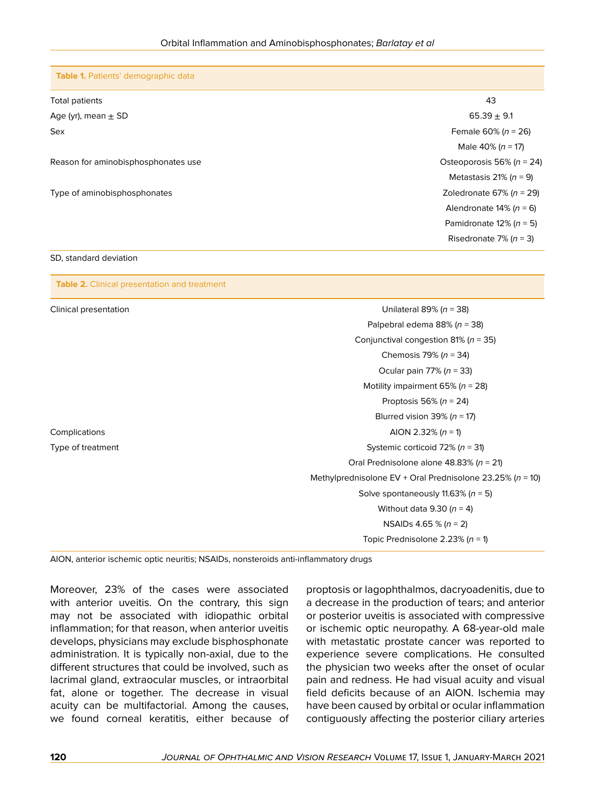**Table 1.** Patients' demographic data

| Total patients                      | 43                             |
|-------------------------------------|--------------------------------|
| Age (yr), mean $\pm$ SD             | $65.39 \pm 9.1$                |
| Sex                                 | Female 60% ( $n = 26$ )        |
|                                     | Male 40% ( $n = 17$ )          |
| Reason for aminobisphosphonates use | Osteoporosis 56% ( $n = 24$ )  |
|                                     | Metastasis 21% ( $n = 9$ )     |
| Type of aminobisphosphonates        | Zoledronate 67% ( $n = 29$ )   |
|                                     | Alendronate $14\%$ ( $n = 6$ ) |
|                                     | Pamidronate $12\%$ ( $n = 5$ ) |
|                                     | Risedronate 7% ( $n = 3$ )     |

#### SD, standard deviation

**Table 2.** Clinical presentation and treatment

| Clinical presentation | Unilateral 89% ( $n = 38$ )                                   |
|-----------------------|---------------------------------------------------------------|
|                       | Palpebral edema 88% ( $n = 38$ )                              |
|                       | Conjunctival congestion 81% ( $n = 35$ )                      |
|                       | Chemosis 79% ( $n = 34$ )                                     |
|                       | Ocular pain 77% ( $n = 33$ )                                  |
|                       | Motility impairment 65% ( $n = 28$ )                          |
|                       | Proptosis 56% ( $n = 24$ )                                    |
|                       | Blurred vision 39% ( $n = 17$ )                               |
| Complications         | AION 2.32% ( $n = 1$ )                                        |
| Type of treatment     | Systemic corticoid 72% ( $n = 31$ )                           |
|                       | Oral Prednisolone alone 48.83% ( $n = 21$ )                   |
|                       | Methylprednisolone EV + Oral Prednisolone 23.25% ( $n = 10$ ) |
|                       | Solve spontaneously 11.63% ( $n = 5$ )                        |
|                       | Without data 9.30 ( $n = 4$ )                                 |
|                       | NSAIDs 4.65 % ( $n = 2$ )                                     |
|                       | Topic Prednisolone 2.23% ( $n = 1$ )                          |

AION, anterior ischemic optic neuritis; NSAIDs, nonsteroids anti-inflammatory drugs

Moreover, 23% of the cases were associated with anterior uveitis. On the contrary, this sign may not be associated with idiopathic orbital inflammation; for that reason, when anterior uveitis develops, physicians may exclude bisphosphonate administration. It is typically non-axial, due to the different structures that could be involved, such as lacrimal gland, extraocular muscles, or intraorbital fat, alone or together. The decrease in visual acuity can be multifactorial. Among the causes, we found corneal keratitis, either because of proptosis or lagophthalmos, dacryoadenitis, due to a decrease in the production of tears; and anterior or posterior uveitis is associated with compressive or ischemic optic neuropathy. A 68-year-old male with metastatic prostate cancer was reported to experience severe complications. He consulted the physician two weeks after the onset of ocular pain and redness. He had visual acuity and visual field deficits because of an AION. Ischemia may have been caused by orbital or ocular inflammation contiguously affecting the posterior ciliary arteries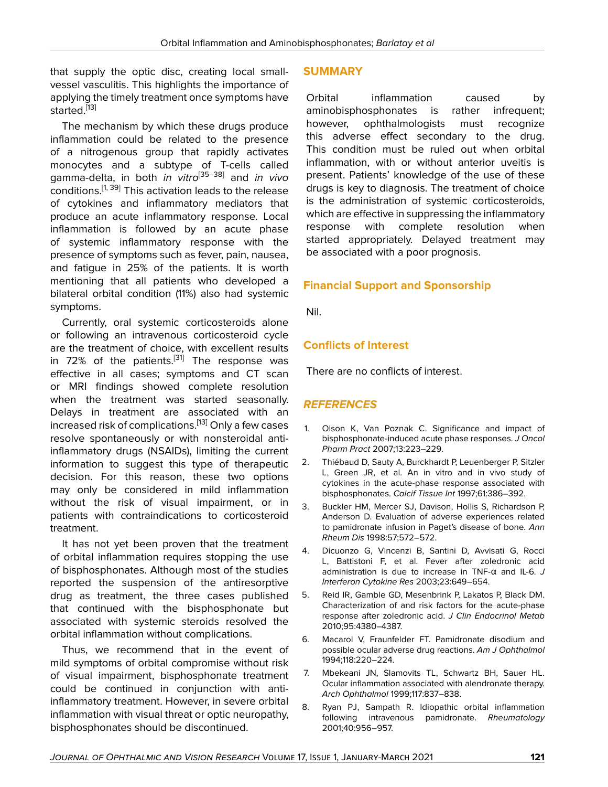that supply the optic disc, creating local smallvessel vasculitis. This highlights the importance of applying the timely treatment once symptoms have started.<sup>[\[13](#page-4-1)]</sup>

The mechanism by which these drugs produce inflammation could be related to the presence of a nitrogenous group that rapidly activates monocytes and a subtype of T-cells called gamma-delta, in both *in vitro*[[35–](#page-4-4)[38](#page-4-5)] and *in vivo* conditions.<sup>[\[1](#page-3-0), [39\]](#page-4-6)</sup> This activation leads to the release of cytokines and inflammatory mediators that produce an acute inflammatory response. Local inflammation is followed by an acute phase of systemic inflammatory response with the presence of symptoms such as fever, pain, nausea, and fatigue in 25% of the patients. It is worth mentioning that all patients who developed a bilateral orbital condition (11%) also had systemic symptoms.

Currently, oral systemic corticosteroids alone or following an intravenous corticosteroid cycle are the treatment of choice, with excellent results in 72% of the patients.<sup>[[31\]](#page-4-7)</sup> The response was effective in all cases; symptoms and CT scan or MRI findings showed complete resolution when the treatment was started seasonally. Delays in treatment are associated with an increased risk of complications.<sup>[\[13](#page-4-1)]</sup> Only a few cases resolve spontaneously or with nonsteroidal antiinflammatory drugs (NSAIDs), limiting the current information to suggest this type of therapeutic decision. For this reason, these two options may only be considered in mild inflammation without the risk of visual impairment, or in patients with contraindications to corticosteroid treatment.

It has not yet been proven that the treatment of orbital inflammation requires stopping the use of bisphosphonates. Although most of the studies reported the suspension of the antiresorptive drug as treatment, the three cases published that continued with the bisphosphonate but associated with systemic steroids resolved the orbital inflammation without complications.

Thus, we recommend that in the event of mild symptoms of orbital compromise without risk of visual impairment, bisphosphonate treatment could be continued in conjunction with antiinflammatory treatment. However, in severe orbital inflammation with visual threat or optic neuropathy, bisphosphonates should be discontinued.

### **SUMMARY**

Orbital inflammation caused by aminobisphosphonates is rather infrequent; however, ophthalmologists must recognize this adverse effect secondary to the drug. This condition must be ruled out when orbital inflammation, with or without anterior uveitis is present. Patients' knowledge of the use of these drugs is key to diagnosis. The treatment of choice is the administration of systemic corticosteroids, which are effective in suppressing the inflammatory response with complete resolution when started appropriately. Delayed treatment may be associated with a poor prognosis.

## **Financial Support and Sponsorship**

Nil.

### **Conflicts of Interest**

There are no conflicts of interest.

### *REFERENCES*

- <span id="page-3-0"></span>1. Olson K, Van Poznak C. Significance and impact of bisphosphonate-induced acute phase responses. *J Oncol Pharm Pract* 2007;13:223–229.
- <span id="page-3-1"></span>2. Thiébaud D, Sauty A, Burckhardt P, Leuenberger P, Sitzler L, Green JR, et al. An in vitro and in vivo study of cytokines in the acute-phase response associated with bisphosphonates. *Calcif Tissue Int* 1997;61:386–392.
- 3. Buckler HM, Mercer SJ, Davison, Hollis S, Richardson P, Anderson D. Evaluation of adverse experiences related to pamidronate infusion in Paget's disease of bone. *Ann Rheum Dis* 1998:57;572–572.
- 4. Dicuonzo G, Vincenzi B, Santini D, Avvisati G, Rocci L, Battistoni F, et al. Fever after zoledronic acid administration is due to increase in TNF-α and IL-6. *J Interferon Cytokine Res* 2003;23:649–654.
- <span id="page-3-2"></span>5. Reid IR, Gamble GD, Mesenbrink P, Lakatos P, Black DM. Characterization of and risk factors for the acute-phase response after zoledronic acid. *J Clin Endocrinol Metab* 2010;95:4380–4387.
- <span id="page-3-3"></span>6. Macarol V, Fraunfelder FT. Pamidronate disodium and possible ocular adverse drug reactions. *Am J Ophthalmol* 1994;118:220–224.
- <span id="page-3-4"></span>7. Mbekeani JN, Slamovits TL, Schwartz BH, Sauer HL. Ocular inflammation associated with alendronate therapy. *Arch Ophthalmol* 1999;117:837–838.
- 8. Ryan PJ, Sampath R. Idiopathic orbital inflammation following intravenous pamidronate. *Rheumatology* 2001;40:956–957.